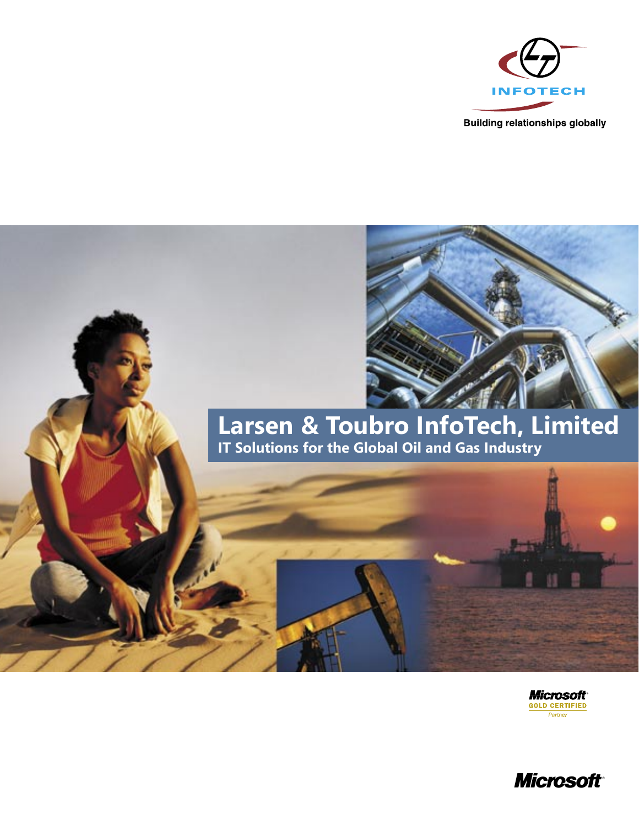

**Building relationships globally** 



# **Larsen & Toubro InfoTech, Limited IT Solutions for the Global Oil and Gas Industry**



**Microsoft** Partner

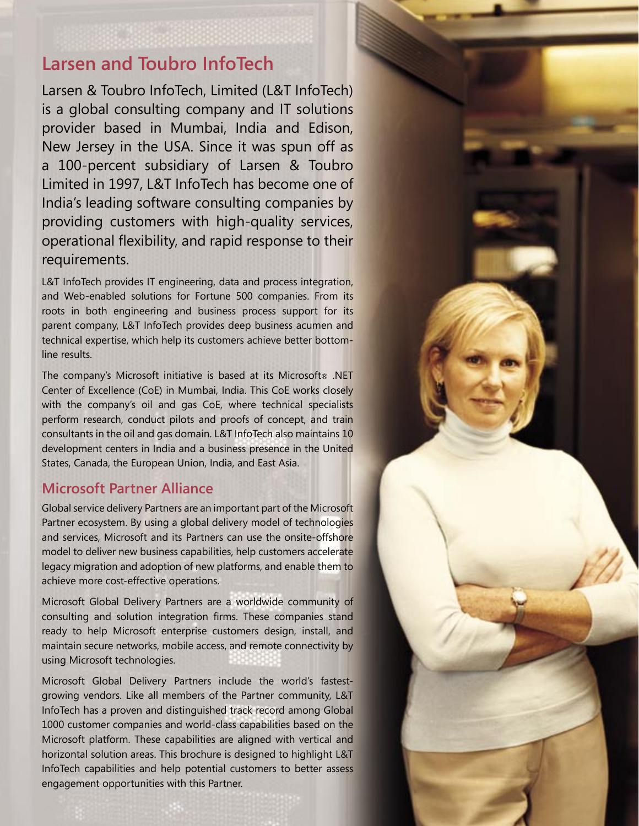# **Larsen and Toubro InfoTech**

Larsen & Toubro InfoTech, Limited (L&T InfoTech) is a global consulting company and IT solutions provider based in Mumbai, India and Edison, New Jersey in the USA. Since it was spun off as a 100-percent subsidiary of Larsen & Toubro Limited in 1997, L&T InfoTech has become one of India's leading software consulting companies by providing customers with high-quality services, operational flexibility, and rapid response to their requirements.

L&T InfoTech provides IT engineering, data and process integration, and Web-enabled solutions for Fortune 500 companies. From its roots in both engineering and business process support for its parent company, L&T InfoTech provides deep business acumen and technical expertise, which help its customers achieve better bottomline results.

The company's Microsoft initiative is based at its Microsoft® .NET Center of Excellence (CoE) in Mumbai, India. This CoE works closely with the company's oil and gas CoE, where technical specialists perform research, conduct pilots and proofs of concept, and train consultants in the oil and gas domain. L&T InfoTech also maintains 10 development centers in India and a business presence in the United States, Canada, the European Union, India, and East Asia.

### **Microsoft Partner Alliance**

Global service delivery Partners are an important part of the Microsoft Partner ecosystem. By using a global delivery model of technologies and services, Microsoft and its Partners can use the onsite-offshore model to deliver new business capabilities, help customers accelerate legacy migration and adoption of new platforms, and enable them to achieve more cost-effective operations.

Microsoft Global Delivery Partners are a worldwide community of consulting and solution integration firms. These companies stand ready to help Microsoft enterprise customers design, install, and maintain secure networks, mobile access, and remote connectivity by using Microsoft technologies.

Microsoft Global Delivery Partners include the world's fastestgrowing vendors. Like all members of the Partner community, L&T InfoTech has a proven and distinguished track record among Global 1000 customer companies and world-class capabilities based on the Microsoft platform. These capabilities are aligned with vertical and horizontal solution areas. This brochure is designed to highlight L&T InfoTech capabilities and help potential customers to better assess engagement opportunities with this Partner.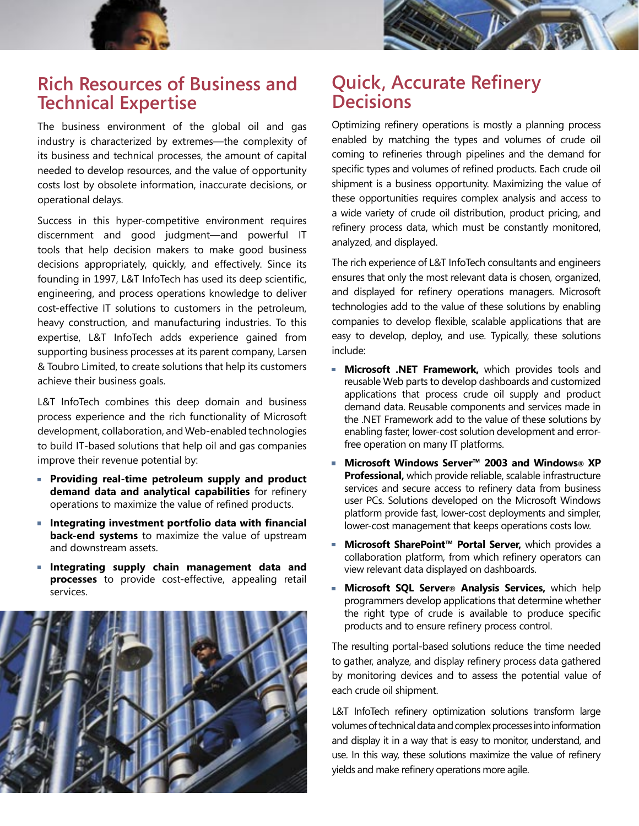

# **Rich Resources of Business and Technical Expertise**

The business environment of the global oil and gas industry is characterized by extremes—the complexity of its business and technical processes, the amount of capital needed to develop resources, and the value of opportunity costs lost by obsolete information, inaccurate decisions, or operational delays.

Success in this hyper-competitive environment requires discernment and good judgment—and powerful IT tools that help decision makers to make good business decisions appropriately, quickly, and effectively. Since its founding in 1997, L&T InfoTech has used its deep scientific, engineering, and process operations knowledge to deliver cost-effective IT solutions to customers in the petroleum, heavy construction, and manufacturing industries. To this expertise, L&T InfoTech adds experience gained from supporting business processes at its parent company, Larsen & Toubro Limited, to create solutions that help its customers achieve their business goals.

L&T InfoTech combines this deep domain and business process experience and the rich functionality of Microsoft development, collaboration, and Web-enabled technologies to build IT-based solutions that help oil and gas companies improve their revenue potential by:

- **Providing real-time petroleum supply and product demand data and analytical capabilities** for refinery operations to maximize the value of refined products.
- **Integrating investment portfolio data with financial back-end systems** to maximize the value of upstream and downstream assets.
- **Integrating supply chain management data and processes** to provide cost-effective, appealing retail services.



# **Quick, Accurate Refinery Decisions**

Optimizing refinery operations is mostly a planning process enabled by matching the types and volumes of crude oil coming to refineries through pipelines and the demand for specific types and volumes of refined products. Each crude oil shipment is a business opportunity. Maximizing the value of these opportunities requires complex analysis and access to a wide variety of crude oil distribution, product pricing, and refinery process data, which must be constantly monitored, analyzed, and displayed.

The rich experience of L&T InfoTech consultants and engineers ensures that only the most relevant data is chosen, organized, and displayed for refinery operations managers. Microsoft technologies add to the value of these solutions by enabling companies to develop flexible, scalable applications that are easy to develop, deploy, and use. Typically, these solutions include:

- **Microsoft .NET Framework,** which provides tools and reusable Web parts to develop dashboards and customized applications that process crude oil supply and product demand data. Reusable components and services made in the .NET Framework add to the value of these solutions by enabling faster, lower-cost solution development and errorfree operation on many IT platforms.
- **Microsoft Windows Server™ 2003 and Windows® XP Professional,** which provide reliable, scalable infrastructure services and secure access to refinery data from business user PCs. Solutions developed on the Microsoft Windows platform provide fast, lower-cost deployments and simpler, lower-cost management that keeps operations costs low.
- Microsoft SharePoint™ Portal Server, which provides a collaboration platform, from which refinery operators can view relevant data displayed on dashboards.
- **Microsoft SQL Server® Analysis Services,** which help programmers develop applications that determine whether the right type of crude is available to produce specific products and to ensure refinery process control.

The resulting portal-based solutions reduce the time needed to gather, analyze, and display refinery process data gathered by monitoring devices and to assess the potential value of each crude oil shipment.

L&T InfoTech refinery optimization solutions transform large volumes of technical data and complex processes into information and display it in a way that is easy to monitor, understand, and use. In this way, these solutions maximize the value of refinery yields and make refinery operations more agile.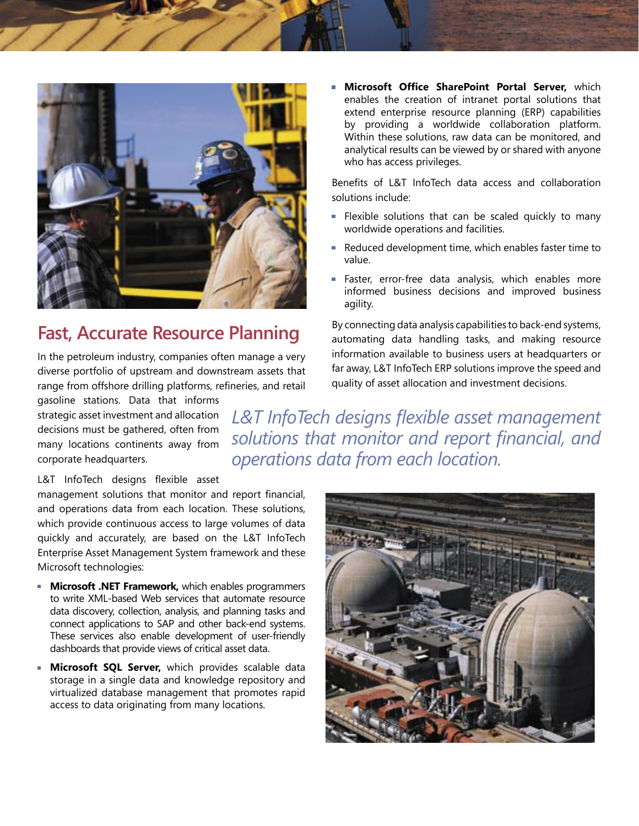

# **Fast, Accurate Resource Planning**

In the petroleum industry, companies often manage a very diverse portfolio of upstream and downstream assets that range from offshore drilling platforms, refineries, and retail

gasoline stations. Data that informs strategic asset investment and allocation decisions must be gathered, often from many locations continents away from corporate headquarters.

*L&T InfoTech designs flexible asset management solutions that monitor and report financial, and operations data from each location.* 

### L&T InfoTech designs flexible asset

management solutions that monitor and report financial, and operations data from each location. These solutions, which provide continuous access to large volumes of data quickly and accurately, are based on the L&T InfoTech Enterprise Asset Management System framework and these Microsoft technologies:

- **Microsoft .NET Framework,** which enables programmers to write XML-based Web services that automate resource data discovery, collection, analysis, and planning tasks and connect applications to SAP and other back-end systems. These services also enable development of user-friendly dashboards that provide views of critical asset data.
- **Microsoft SQL Server,** which provides scalable data storage in a single data and knowledge repository and virtualized database management that promotes rapid access to data originating from many locations.



**Microsoft Office SharePoint Portal Server,** which enables the creation of intranet portal solutions that extend enterprise resource planning (ERP) capabilities by providing a worldwide collaboration platform. Within these solutions, raw data can be monitored, and analytical results can be viewed by or shared with anyone who has access privileges.

Benefits of L&T InfoTech data access and collaboration solutions include:

- **Flexible solutions that can be scaled quickly to many** worldwide operations and facilities.
- Reduced development time, which enables faster time to value.
- Faster, error-free data analysis, which enables more informed business decisions and improved business agility.

By connecting data analysis capabilities to back-end systems, automating data handling tasks, and making resource information available to business users at headquarters or far away, L&T InfoTech ERP solutions improve the speed and quality of asset allocation and investment decisions.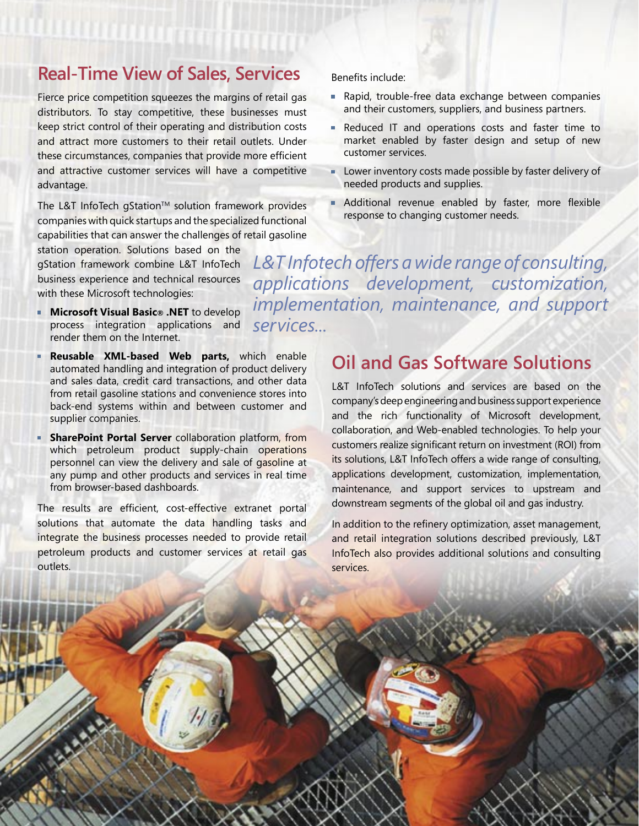## **Real-Time View of Sales, Services**

Fierce price competition squeezes the margins of retail gas distributors. To stay competitive, these businesses must keep strict control of their operating and distribution costs and attract more customers to their retail outlets. Under these circumstances, companies that provide more efficient and attractive customer services will have a competitive advantage.

The L&T InfoTech gStation™ solution framework provides companies with quick startups and the specialized functional capabilities that can answer the challenges of retail gasoline

station operation. Solutions based on the gStation framework combine L&T InfoTech business experience and technical resources with these Microsoft technologies:

- **Microsoft Visual Basic® .NET** to develop process integration applications and render them on the Internet.
- **Reusable XML-based Web parts,** which enable automated handling and integration of product delivery and sales data, credit card transactions, and other data from retail gasoline stations and convenience stores into back-end systems within and between customer and supplier companies.
- **SharePoint Portal Server** collaboration platform, from which petroleum product supply-chain operations personnel can view the delivery and sale of gasoline at any pump and other products and services in real time from browser-based dashboards.

The results are efficient, cost-effective extranet portal solutions that automate the data handling tasks and integrate the business processes needed to provide retail petroleum products and customer services at retail gas outlets.

Benefits include:

- Rapid, trouble-free data exchange between companies and their customers, suppliers, and business partners.
- Reduced IT and operations costs and faster time to market enabled by faster design and setup of new customer services.
- a. Lower inventory costs made possible by faster delivery of needed products and supplies.
- Additional revenue enabled by faster, more flexible response to changing customer needs.

*L&T Infotech offers a wide range of consulting, applications development, customization, implementation, maintenance, and support services...*

# **Oil and Gas Software Solutions**

L&T InfoTech solutions and services are based on the company's deep engineering and business support experience and the rich functionality of Microsoft development, collaboration, and Web-enabled technologies. To help your customers realize significant return on investment (ROI) from its solutions, L&T InfoTech offers a wide range of consulting, applications development, customization, implementation, maintenance, and support services to upstream and downstream segments of the global oil and gas industry.

In addition to the refinery optimization, asset management, and retail integration solutions described previously, L&T InfoTech also provides additional solutions and consulting services.

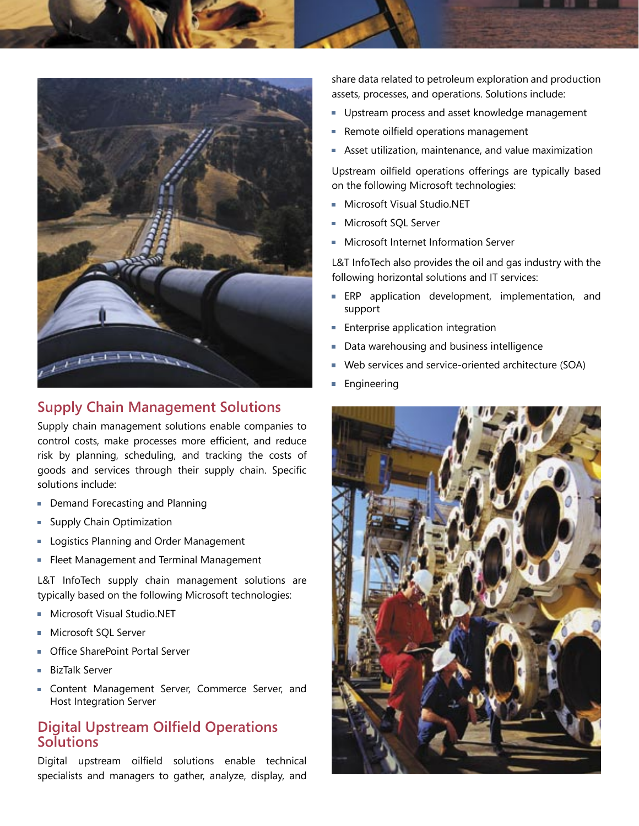

### **Supply Chain Management Solutions**

Supply chain management solutions enable companies to control costs, make processes more efficient, and reduce risk by planning, scheduling, and tracking the costs of goods and services through their supply chain. Specific solutions include:

- **Demand Forecasting and Planning**
- **Supply Chain Optimization**
- **Logistics Planning and Order Management**
- **Fleet Management and Terminal Management**

L&T InfoTech supply chain management solutions are typically based on the following Microsoft technologies:

- Microsoft Visual Studio.NET
- Microsoft SQL Server
- Office SharePoint Portal Server
- BizTalk Server
- **Exercise Content Management Server, Commerce Server, and** Host Integration Server

### **Digital Upstream Oilfield Operations Solutions**

Digital upstream oilfield solutions enable technical specialists and managers to gather, analyze, display, and share data related to petroleum exploration and production assets, processes, and operations. Solutions include:

- Upstream process and asset knowledge management
- Remote oilfield operations management
- Asset utilization, maintenance, and value maximization

Upstream oilfield operations offerings are typically based on the following Microsoft technologies:

- Microsoft Visual Studio.NET
- Microsoft SQL Server
- Microsoft Internet Information Server

L&T InfoTech also provides the oil and gas industry with the following horizontal solutions and IT services:

- **ERP** application development, implementation, and support
- **Enterprise application integration**
- Data warehousing and business intelligence
- Web services and service-oriented architecture (SOA)
- EngineeringÌ.

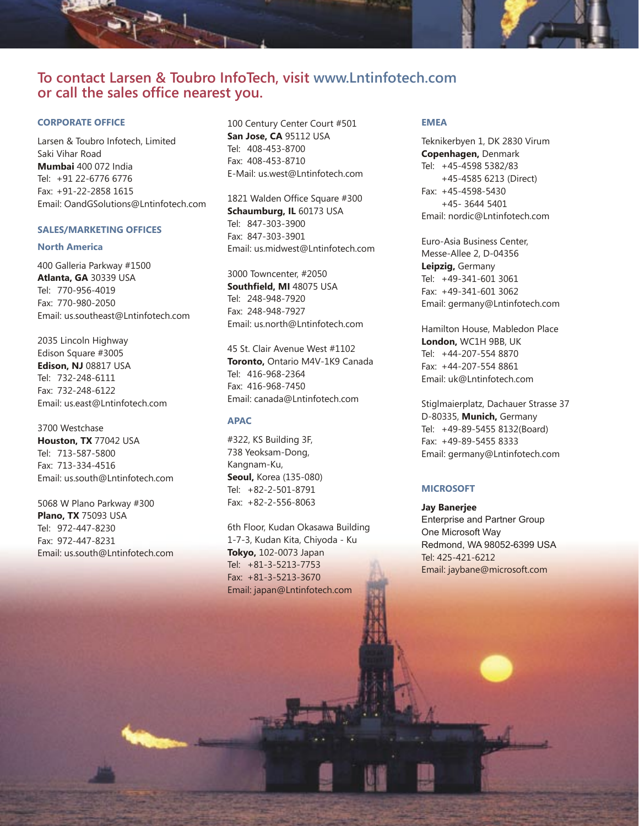# **To contact Larsen & Toubro InfoTech, visit www.Lntinfotech.com or call the sales office nearest you.**

### **CORPORATE OFFICE**

Larsen & Toubro Infotech, Limited Saki Vihar Road **Mumbai** 400 072 India Tel: +91 22-6776 6776 Fax: +91-22-2858 1615 Email: OandGSolutions@Lntinfotech.com

### **SALES/MARKETING OFFICES**

#### **North America**

400 Galleria Parkway #1500 **Atlanta, GA** 30339 USA Tel: 770-956-4019 Fax: 770-980-2050 Email: us.southeast@Lntinfotech.com

2035 Lincoln Highway Edison Square #3005 **Edison, NJ** 08817 USA Tel: 732-248-6111 Fax: 732-248-6122 Email: us.east@Lntinfotech.com

3700 Westchase **Houston, TX** 77042 USA Tel: 713-587-5800 Fax: 713-334-4516 Email: us.south@Lntinfotech.com

5068 W Plano Parkway #300 **Plano, TX** 75093 USA Tel: 972-447-8230 Fax: 972-447-8231 Email: us.south@Lntinfotech.com

100 Century Center Court #501 **San Jose, CA** 95112 USA Tel: 408-453-8700 Fax: 408-453-8710 E-Mail: us.west@Lntinfotech.com

1821 Walden Office Square #300 **Schaumburg, IL** 60173 USA Tel: 847-303-3900 Fax: 847-303-3901 Email: us.midwest@Lntinfotech.com

3000 Towncenter, #2050 **Southfield, MI** 48075 USA Tel: 248-948-7920 Fax: 248-948-7927 Email: us.north@Lntinfotech.com

45 St. Clair Avenue West #1102 **Toronto,** Ontario M4V-1K9 Canada Tel: 416-968-2364 Fax: 416-968-7450 Email: canada@Lntinfotech.com

### **APAC**

#322, KS Building 3F, 738 Yeoksam-Dong, Kangnam-Ku, **Seoul,** Korea (135-080) Tel: +82-2-501-8791 Fax: +82-2-556-8063

6th Floor, Kudan Okasawa Building 1-7-3, Kudan Kita, Chiyoda - Ku **Tokyo,** 102-0073 Japan Tel: +81-3-5213-7753 Fax: +81-3-5213-3670 Email: japan@Lntinfotech.com

#### **EMEA**

Teknikerbyen 1, DK 2830 Virum **Copenhagen,** Denmark Tel: +45-4598 5382/83 +45-4585 6213 (Direct) Fax: +45-4598-5430 +45- 3644 5401 Email: nordic@Lntinfotech.com

Euro-Asia Business Center, Messe-Allee 2, D-04356 **Leipzig,** Germany Tel: +49-341-601 3061 Fax: +49-341-601 3062 Email: germany@Lntinfotech.com

Hamilton House, Mabledon Place **London,** WC1H 9BB, UK Tel: +44-207-554 8870 Fax: +44-207-554 8861 Email: uk@Lntinfotech.com

Stiglmaierplatz, Dachauer Strasse 37 D-80335, **Munich,** Germany Tel: +49-89-5455 8132(Board) Fax: +49-89-5455 8333 Email: germany@Lntinfotech.com

### **MICROSOFT**

**Jay Banerjee** Enterprise and Partner Group One Microsoft Way Redmond, WA 98052-6399 USA Tel: 425-421-6212 Email: jaybane@microsoft.com